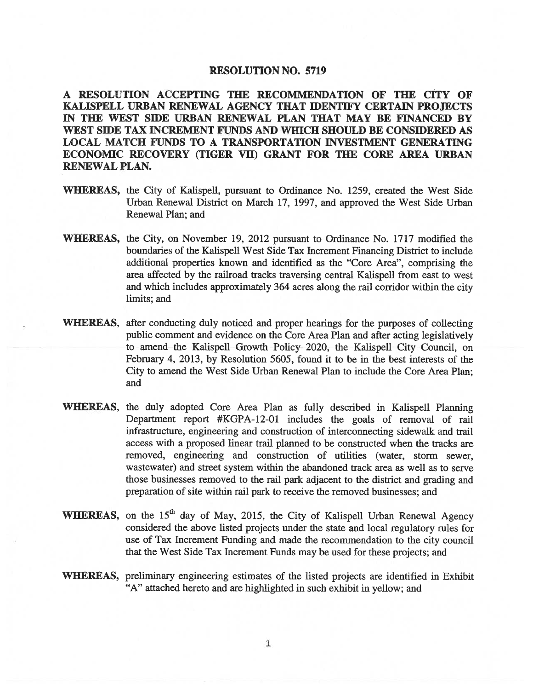## RESOLUTION NO. 5719

A RESOLUTION ACCEPTING THE RECOMMENDATION OF TIlE CITY OF KALISPELL URBAN RENEWAL AGENCY THAT IDENTIFY CERTAIN PROJECTS IN THE WEST SIDE URBAN RENEWAL PLAN THAT MAY BE FINANCED BY WEST SIDE TAX INCREMENT FUNDS AND WHICH SHOULD BE CONSIDERED AS LOCAL MATCH FUNDS TO A TRANSPORTATION INVESTMENT GENERATING ECONOMIC RECOVERY (TIGER VII) GRANT FOR THE CORE AREA URBAN RENEWAL PLAN.

- WhEREAS, the City of Kalispell, pursuant to Ordinance No. 1259, created the West Side Urban Renewal District on March 17, 1997, and approved the West Side Urban Renewal Plan; and
- WHEREAS, the City, on November 19, 2012 pursuant to Ordinance No. 1717 modified the boundaries of the Kalispell West Side Tax Increment Financing District to include additional properties known and identified as the "Core Area", comprising the area affected by the railroad tracks traversing central Kalispell from east to west and which includes approximately 364 acres along the rail corridor within the city limits; and
- WHEREAS, after conducting duly noticed and proper hearings for the purposes of collecting public comment and evidence on the Core Area Plan and after acting legislatively to amend the Kalispell Growth Policy 2020, the Kalispell City Council, on February 4, 2013, by Resolution 5605, found it to be in the best interests of the City to amend the West Side Urban Renewal Plan to include the Core Area Plan; and
- WhEREAS, the duly adopted Core Area Plan as fully described in Kalispell Planning Department report #KGPA-12-01 includes the goals of removal of rail infrastructure, engineering and construction of interconnecting sidewalk and trail access with a proposed linear trail planned to be constructed when the tracks are removed, engineering and construction of utilities (water, storm sewer, wastewater) and street system within the abandoned track area as well as to serve those businesses removed to the rail park adjacent to the district and grading and preparation of site within rail park to receive the removed businesses; and
- WHEREAS, on the  $15<sup>th</sup>$  day of May, 2015, the City of Kalispell Urban Renewal Agency considered the above listed projects under the state and local regulatory rules for use of Tax Increment Funding and made the recommendation to the city council that the West Side Tax Increment Funds may be used for these projects; and
- WHEREAS, preliminary engineering estimates of the listed projects are identified in Exhibit "A" attached hereto and are highlighted in such exhibit in yellow; and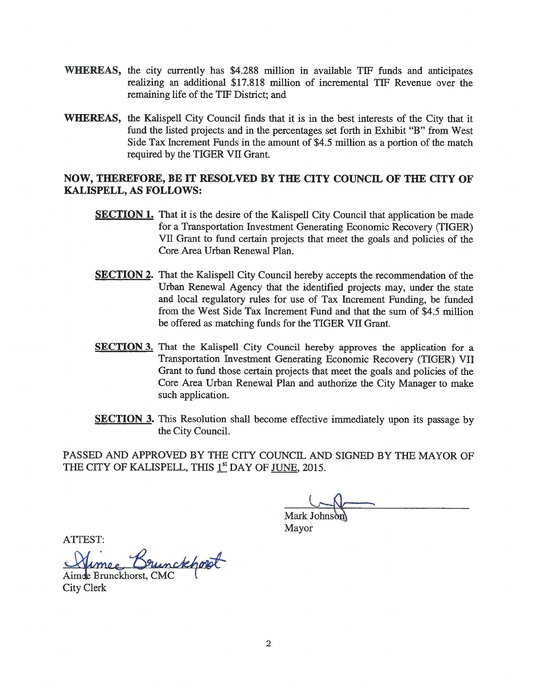- WHEREAS, the city currently has \$4288 million in available TIF funds and anticipates realizing an additional \$17.818 million of incremental TIF Revenue over the remaining life of the TIF District; and
- WHEREAS, the Kalispell City Council finds that it is in the best interests of the City that it fund the listed projects and in the percentages set forth in Exhibit "B" from West Side Tax Increment Funds in the amount of \$4.5 million as a portion of the match required by the TIGER VII Grant.

## NOW, THEREFORE, BE IT RESOLVED BY THE CITY COUNCIL OF THE CITY OF KALISPELL, AS FOLLOWS:

- **SECTION 1.** That it is the desire of the Kalispell City Council that application be made for a Transportation Investment Generating Economic Recovery (TIGER) VII Grant to fund certain projects that meet the goals and policies of the Core Area Urban Renewal Plan.
- **SECTION 2.** That the Kalispell City Council hereby accepts the recommendation of the Urban Renewal Agency that the identified projects may, under the state and local regulatory rules for use of Tax Increment Funding, be funded from the West Side Tax Increment Fund and that the sum of \$4.5 million be offered as matching funds for the TIGER VII Grant.
- **SECTION 3.** That the Kalispell City Council hereby approves the application for a Transportation Investment Generating Economic Recovery (TIGER) VII Grant to fund those certain projects that meet the goals and policies of the Core Area Urban Renewal Plan and authorize the City Manager to make such application.
- **SECTION 3.** This Resolution shall become effective immediately upon its passage by the City Council.

PASSED AND APPROVED BY THE CITY COUNCIL AND SIGNED BY THE MAYOR OF THE CITY OF KALISPELL, THIS 1<sup>st</sup> DAY OF JUNE, 2015.

**Mark Johns** 

Mayor

ATTEST:

ATTEST:<br>Alimee Brun<br>Aimee Brunckhorst, CMC Sunckhopt

City Clerk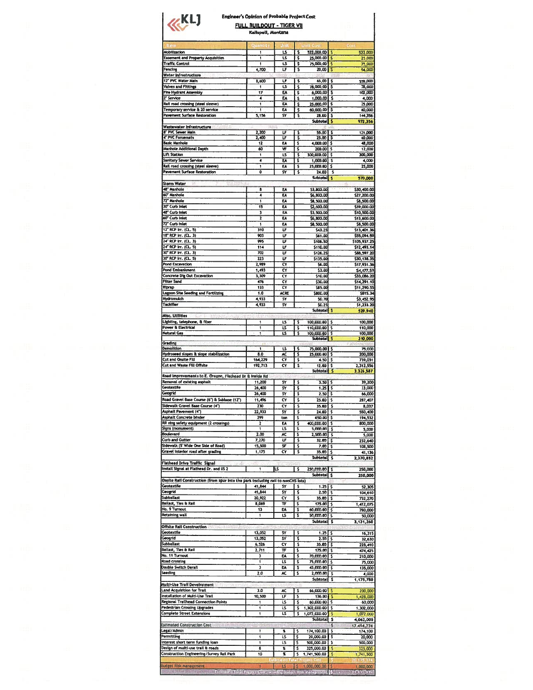## **Engineer's Opinion of Probable Project Cost** FULL BUILDOUT - TIGER VII

| $\nu$ KL1                                                                                                                                                                                                                                                                                                                                                                                                                                                                                                                                                                                                                                                                                                                                                                                                                                   | <b>Engineer's Opinion of Probable Project Cost</b><br>FULL BUILDOUT - TIGER VII<br>Kalispell, Montana |                               |                                                                                   |                                                                                                                                                                                                                                                     |
|---------------------------------------------------------------------------------------------------------------------------------------------------------------------------------------------------------------------------------------------------------------------------------------------------------------------------------------------------------------------------------------------------------------------------------------------------------------------------------------------------------------------------------------------------------------------------------------------------------------------------------------------------------------------------------------------------------------------------------------------------------------------------------------------------------------------------------------------|-------------------------------------------------------------------------------------------------------|-------------------------------|-----------------------------------------------------------------------------------|-----------------------------------------------------------------------------------------------------------------------------------------------------------------------------------------------------------------------------------------------------|
|                                                                                                                                                                                                                                                                                                                                                                                                                                                                                                                                                                                                                                                                                                                                                                                                                                             | n                                                                                                     |                               |                                                                                   |                                                                                                                                                                                                                                                     |
| Mobilization                                                                                                                                                                                                                                                                                                                                                                                                                                                                                                                                                                                                                                                                                                                                                                                                                                | 1                                                                                                     | īs                            | 522,000.00<br>\$                                                                  | 522,000<br>Б                                                                                                                                                                                                                                        |
| <b>Easement and Property Acquisition</b><br><b>Traffic Control</b>                                                                                                                                                                                                                                                                                                                                                                                                                                                                                                                                                                                                                                                                                                                                                                          | ī                                                                                                     | <b>LS</b><br>تا               | \$<br>25,000.00                                                                   | В<br>25,000                                                                                                                                                                                                                                         |
| Fencing                                                                                                                                                                                                                                                                                                                                                                                                                                                                                                                                                                                                                                                                                                                                                                                                                                     | 1<br>4,700                                                                                            | LF                            | \$<br>75,000.00 \$<br>S<br>20.00                                                  | 75,000<br>94,000<br>۱s                                                                                                                                                                                                                              |
| Water Infrastructure                                                                                                                                                                                                                                                                                                                                                                                                                                                                                                                                                                                                                                                                                                                                                                                                                        |                                                                                                       |                               |                                                                                   |                                                                                                                                                                                                                                                     |
| 12" PVC Water Main<br>Valves and Fittings                                                                                                                                                                                                                                                                                                                                                                                                                                                                                                                                                                                                                                                                                                                                                                                                   | 8,600<br>1                                                                                            | LF<br>U                       | 65.00 \$<br>s<br>Ś<br>78,000.00                                                   | 559,000<br>78,000<br>l s                                                                                                                                                                                                                            |
| Fire Hydrant Assembly                                                                                                                                                                                                                                                                                                                                                                                                                                                                                                                                                                                                                                                                                                                                                                                                                       | 17                                                                                                    | EA                            | 6,000.00 \$<br>\$                                                                 | 102,000                                                                                                                                                                                                                                             |
| Z" Service                                                                                                                                                                                                                                                                                                                                                                                                                                                                                                                                                                                                                                                                                                                                                                                                                                  | 4                                                                                                     | EA                            | \$<br>1,000.00                                                                    | Į.<br>4,000                                                                                                                                                                                                                                         |
| Rail road crossing (steel sleeve)<br>Temporary service & 20 service                                                                                                                                                                                                                                                                                                                                                                                                                                                                                                                                                                                                                                                                                                                                                                         | 1                                                                                                     | EA                            | 25,000.00<br>\$                                                                   | <b>S</b><br>25,000                                                                                                                                                                                                                                  |
| Pavement Surface Restoration                                                                                                                                                                                                                                                                                                                                                                                                                                                                                                                                                                                                                                                                                                                                                                                                                | 1<br>5,156                                                                                            | EA<br>S٢                      | \$<br>60,000.00 \$<br>\$<br>28.00                                                 | 60,000<br>۱s<br>144,356                                                                                                                                                                                                                             |
|                                                                                                                                                                                                                                                                                                                                                                                                                                                                                                                                                                                                                                                                                                                                                                                                                                             |                                                                                                       |                               | Subtotal \$                                                                       | 972,356                                                                                                                                                                                                                                             |
| Wastewater Infrastructure<br>8" PVC Sewer Main                                                                                                                                                                                                                                                                                                                                                                                                                                                                                                                                                                                                                                                                                                                                                                                              |                                                                                                       | LF                            |                                                                                   |                                                                                                                                                                                                                                                     |
| 4° PVC Forcemain                                                                                                                                                                                                                                                                                                                                                                                                                                                                                                                                                                                                                                                                                                                                                                                                                            | 2,200<br>2,400                                                                                        | ᡅ                             | $55.00$ $\frac{1}{5}$<br>s<br>\$<br>25.00                                         | 121,000<br>75<br>60,000                                                                                                                                                                                                                             |
| <b>Basic Manhole</b>                                                                                                                                                                                                                                                                                                                                                                                                                                                                                                                                                                                                                                                                                                                                                                                                                        | 12                                                                                                    | EA                            | \$<br>4,000.00                                                                    | 48,000<br>۱\$                                                                                                                                                                                                                                       |
| Manhole Additional Depth<br>Lift Station                                                                                                                                                                                                                                                                                                                                                                                                                                                                                                                                                                                                                                                                                                                                                                                                    | 60<br>1                                                                                               | ٧F<br>نا                      | 5<br>200.00<br>5<br>300,000.00                                                    | 12,000<br>S<br>300,000<br>\$                                                                                                                                                                                                                        |
| <b>Sanitary Sewer Service</b>                                                                                                                                                                                                                                                                                                                                                                                                                                                                                                                                                                                                                                                                                                                                                                                                               | 4                                                                                                     | EA                            | Š<br>1,000.00                                                                     | s<br>4,000                                                                                                                                                                                                                                          |
| Rail road crossing (steel sieeve)                                                                                                                                                                                                                                                                                                                                                                                                                                                                                                                                                                                                                                                                                                                                                                                                           | 1                                                                                                     | F٨                            | \$<br>25,000.00                                                                   | 25,000<br>\$                                                                                                                                                                                                                                        |
| Pavement Surface Restoration                                                                                                                                                                                                                                                                                                                                                                                                                                                                                                                                                                                                                                                                                                                                                                                                                | ō                                                                                                     | Ś٧                            | \$<br>24.00<br>Subtotal S                                                         | - S                                                                                                                                                                                                                                                 |
| <b>Storm Water</b>                                                                                                                                                                                                                                                                                                                                                                                                                                                                                                                                                                                                                                                                                                                                                                                                                          |                                                                                                       |                               |                                                                                   | 570,000                                                                                                                                                                                                                                             |
| 48 <sup>-</sup> Manhole                                                                                                                                                                                                                                                                                                                                                                                                                                                                                                                                                                                                                                                                                                                                                                                                                     | 8                                                                                                     | ٤A                            | \$3,800.00                                                                        | \$30,400.00                                                                                                                                                                                                                                         |
| 60° Manhole<br>72" Manhole                                                                                                                                                                                                                                                                                                                                                                                                                                                                                                                                                                                                                                                                                                                                                                                                                  | 4                                                                                                     | EA                            | \$6,800.00                                                                        | \$27,200.00                                                                                                                                                                                                                                         |
| 30" Curb Inlet                                                                                                                                                                                                                                                                                                                                                                                                                                                                                                                                                                                                                                                                                                                                                                                                                              | 1<br>15                                                                                               | EA<br>EA                      | \$8,500.00<br>\$2,600.00                                                          | \$8,500.00<br>\$39,000.00                                                                                                                                                                                                                           |
| 48" Curb Inlet                                                                                                                                                                                                                                                                                                                                                                                                                                                                                                                                                                                                                                                                                                                                                                                                                              | 3                                                                                                     | EA                            | \$3,500.00                                                                        | \$10,500.00                                                                                                                                                                                                                                         |
| 60° Curb Inlet                                                                                                                                                                                                                                                                                                                                                                                                                                                                                                                                                                                                                                                                                                                                                                                                                              | 2                                                                                                     | EA                            | \$6,800.00                                                                        | \$13,600.00                                                                                                                                                                                                                                         |
| 72" Curb Inlet<br>12" RCP Irr. (CL. 5)                                                                                                                                                                                                                                                                                                                                                                                                                                                                                                                                                                                                                                                                                                                                                                                                      | i<br>310                                                                                              | EA<br>LF                      | \$8,500.00<br>\$43.25                                                             | \$8,500.00<br>\$13,401.36                                                                                                                                                                                                                           |
| 18" RCP Irr. (CL. 3)                                                                                                                                                                                                                                                                                                                                                                                                                                                                                                                                                                                                                                                                                                                                                                                                                        | 903                                                                                                   | UF                            | \$61.00                                                                           | \$55,094.59                                                                                                                                                                                                                                         |
| 24" RCP Irr. (CL. 3)                                                                                                                                                                                                                                                                                                                                                                                                                                                                                                                                                                                                                                                                                                                                                                                                                        | 995                                                                                                   | ឞ                             | \$106.50                                                                          | \$105,937.25                                                                                                                                                                                                                                        |
| 24" RCP Irr. (CL. 5)                                                                                                                                                                                                                                                                                                                                                                                                                                                                                                                                                                                                                                                                                                                                                                                                                        | 114                                                                                                   | UF                            | \$110.00                                                                          | \$12,493.14                                                                                                                                                                                                                                         |
| 30° RCP Irr. (CL. 3)<br>30" RCP Irr. (CL. 5)                                                                                                                                                                                                                                                                                                                                                                                                                                                                                                                                                                                                                                                                                                                                                                                                | 702<br>223                                                                                            | LF<br>UF                      | \$126.25<br>\$135.00                                                              | \$88,597.20<br>\$30,138.35                                                                                                                                                                                                                          |
| Pond Excavation                                                                                                                                                                                                                                                                                                                                                                                                                                                                                                                                                                                                                                                                                                                                                                                                                             | 2,989                                                                                                 | C٧                            | \$6.00                                                                            | \$17,931.36                                                                                                                                                                                                                                         |
| Pond Embankment                                                                                                                                                                                                                                                                                                                                                                                                                                                                                                                                                                                                                                                                                                                                                                                                                             | 1,493                                                                                                 | $\overline{\mathsf{c}}$       | \$3.00                                                                            | \$4,477.53                                                                                                                                                                                                                                          |
| Concrete Dig Out Excavation<br>Filter Sand                                                                                                                                                                                                                                                                                                                                                                                                                                                                                                                                                                                                                                                                                                                                                                                                  | 3,309<br>476                                                                                          | C۲<br>C٢                      | \$10.00<br>\$30.00                                                                | \$33,086.20                                                                                                                                                                                                                                         |
| Riprap                                                                                                                                                                                                                                                                                                                                                                                                                                                                                                                                                                                                                                                                                                                                                                                                                                      | 133                                                                                                   | C٧                            | \$85.00                                                                           | \$14,291.10<br>\$11,290.55                                                                                                                                                                                                                          |
| Lagoon Site Seeding and Fertilizing                                                                                                                                                                                                                                                                                                                                                                                                                                                                                                                                                                                                                                                                                                                                                                                                         | 1.0                                                                                                   | <b>ACRE</b>                   | \$800.00                                                                          | \$815.34                                                                                                                                                                                                                                            |
| <b>Hydromulch</b><br>Tackifier                                                                                                                                                                                                                                                                                                                                                                                                                                                                                                                                                                                                                                                                                                                                                                                                              | 4,933                                                                                                 | S۷                            | 50.70                                                                             | \$3,452.95                                                                                                                                                                                                                                          |
|                                                                                                                                                                                                                                                                                                                                                                                                                                                                                                                                                                                                                                                                                                                                                                                                                                             | 4,933                                                                                                 | S٢                            | \$0.25<br>Subtotal <sup>5</sup>                                                   | 51,233.20<br>529,940                                                                                                                                                                                                                                |
| Misc. Utilities                                                                                                                                                                                                                                                                                                                                                                                                                                                                                                                                                                                                                                                                                                                                                                                                                             |                                                                                                       |                               |                                                                                   |                                                                                                                                                                                                                                                     |
| Hydroseed slopes & slope stabilization<br>Cut and Onsite Fill<br>Cut and Waste Fill Offsite                                                                                                                                                                                                                                                                                                                                                                                                                                                                                                                                                                                                                                                                                                                                                 | 8.0<br>164,229<br>192,713                                                                             | AČ<br>Ö۲<br>C۲                | 75,000.00 \$<br>\$<br>25,000.00<br>\$<br>4.50<br>\$<br>$12.00$ $S$                | 75,000<br>`\$<br>200,000<br>\$<br>739,031<br>2,312,556                                                                                                                                                                                              |
| Road Improvements to E. Oregon, Flathead Dr & Inside Rd                                                                                                                                                                                                                                                                                                                                                                                                                                                                                                                                                                                                                                                                                                                                                                                     |                                                                                                       |                               | <b>Subtotal</b>                                                                   | S<br>3,326,587                                                                                                                                                                                                                                      |
| Removal of existing asphalt                                                                                                                                                                                                                                                                                                                                                                                                                                                                                                                                                                                                                                                                                                                                                                                                                 | 11,200                                                                                                | 5Y                            | \$<br>3.50                                                                        | s<br>39,200                                                                                                                                                                                                                                         |
| Geotextile                                                                                                                                                                                                                                                                                                                                                                                                                                                                                                                                                                                                                                                                                                                                                                                                                                  | 26,400                                                                                                | 5۲                            | \$<br>1.25                                                                        | l s<br>33,000                                                                                                                                                                                                                                       |
| Geogrid<br>Road Gravel Base Course (6") & Subbase (12")                                                                                                                                                                                                                                                                                                                                                                                                                                                                                                                                                                                                                                                                                                                                                                                     | 26,400<br>11,496                                                                                      | 5٧<br>Ċ٧                      | \$<br>2.50<br>\$<br>$25.00$ S                                                     | 3<br>66,000<br>287.407                                                                                                                                                                                                                              |
| Sidewalk Gravel Base Course (4")                                                                                                                                                                                                                                                                                                                                                                                                                                                                                                                                                                                                                                                                                                                                                                                                            | 230                                                                                                   | C۷                            | \$<br>35.00                                                                       | s<br>8,037                                                                                                                                                                                                                                          |
| Asphalt Pavement (4")                                                                                                                                                                                                                                                                                                                                                                                                                                                                                                                                                                                                                                                                                                                                                                                                                       | 22,933                                                                                                | SY                            | \$<br>24.00                                                                       | \$<br>550,400                                                                                                                                                                                                                                       |
| Asphalt Concrete binder<br>RR xing safety equipment (2 crossings)                                                                                                                                                                                                                                                                                                                                                                                                                                                                                                                                                                                                                                                                                                                                                                           | 299<br>2                                                                                              | ton<br>EA                     | \$<br>650.00<br>\$<br>400,000.00                                                  | 194,532<br>S<br>s<br>800,000                                                                                                                                                                                                                        |
| Signs (monument)                                                                                                                                                                                                                                                                                                                                                                                                                                                                                                                                                                                                                                                                                                                                                                                                                            | 1                                                                                                     | LS                            | \$<br>5,000.00                                                                    | s<br>5,000                                                                                                                                                                                                                                          |
| Boulevard                                                                                                                                                                                                                                                                                                                                                                                                                                                                                                                                                                                                                                                                                                                                                                                                                                   | 2.00                                                                                                  | $\overline{\mathbf{r}}$       | \$<br>2,500.00                                                                    | \$<br>5,000                                                                                                                                                                                                                                         |
| Curb and Gutter<br>Sidewalk (5' Wide One Side of Road)                                                                                                                                                                                                                                                                                                                                                                                                                                                                                                                                                                                                                                                                                                                                                                                      | 7,270<br>15,500                                                                                       | UF<br>SF                      | 5<br>32.00<br>\$<br>7.00                                                          | 232,640<br>s<br>\$                                                                                                                                                                                                                                  |
| Gravel interior road after grading                                                                                                                                                                                                                                                                                                                                                                                                                                                                                                                                                                                                                                                                                                                                                                                                          | 1,175                                                                                                 | Ĉ۲                            | \$<br>35.00                                                                       | 108,500<br>s<br>41,136                                                                                                                                                                                                                              |
|                                                                                                                                                                                                                                                                                                                                                                                                                                                                                                                                                                                                                                                                                                                                                                                                                                             |                                                                                                       |                               | Subtotal                                                                          | l \$<br>2,370,852                                                                                                                                                                                                                                   |
| <b>Flathoad Drive Traffic Signal</b><br>Install Signal at Flathead Dr. and US 2                                                                                                                                                                                                                                                                                                                                                                                                                                                                                                                                                                                                                                                                                                                                                             | 1                                                                                                     | Ιß                            | \$<br>250,000.00                                                                  | ۱s<br>250,000                                                                                                                                                                                                                                       |
|                                                                                                                                                                                                                                                                                                                                                                                                                                                                                                                                                                                                                                                                                                                                                                                                                                             |                                                                                                       |                               | Subtotal S                                                                        | 250,000                                                                                                                                                                                                                                             |
|                                                                                                                                                                                                                                                                                                                                                                                                                                                                                                                                                                                                                                                                                                                                                                                                                                             |                                                                                                       |                               |                                                                                   |                                                                                                                                                                                                                                                     |
|                                                                                                                                                                                                                                                                                                                                                                                                                                                                                                                                                                                                                                                                                                                                                                                                                                             |                                                                                                       |                               |                                                                                   |                                                                                                                                                                                                                                                     |
|                                                                                                                                                                                                                                                                                                                                                                                                                                                                                                                                                                                                                                                                                                                                                                                                                                             | 41,844                                                                                                | S٢                            | \$<br>$1.25$ $\overline{\phantom{1}}$ \$                                          | 52,305                                                                                                                                                                                                                                              |
|                                                                                                                                                                                                                                                                                                                                                                                                                                                                                                                                                                                                                                                                                                                                                                                                                                             | 41,844<br>20,922                                                                                      | SY<br>C۲                      | \$<br>2.50<br>\$<br>35.00                                                         | 5<br>104,610<br>s<br>732,270                                                                                                                                                                                                                        |
|                                                                                                                                                                                                                                                                                                                                                                                                                                                                                                                                                                                                                                                                                                                                                                                                                                             | 8,069                                                                                                 | TF                            | 175.00<br>\$                                                                      | s                                                                                                                                                                                                                                                   |
|                                                                                                                                                                                                                                                                                                                                                                                                                                                                                                                                                                                                                                                                                                                                                                                                                                             | 13                                                                                                    | EÄ                            | \$<br>60,000.00                                                                   | ی ا                                                                                                                                                                                                                                                 |
|                                                                                                                                                                                                                                                                                                                                                                                                                                                                                                                                                                                                                                                                                                                                                                                                                                             | ı                                                                                                     | īs                            | 3<br>50,000.00<br>Subtotal \$                                                     | 5                                                                                                                                                                                                                                                   |
| <b>Johnson Bar</b>                                                                                                                                                                                                                                                                                                                                                                                                                                                                                                                                                                                                                                                                                                                                                                                                                          |                                                                                                       |                               |                                                                                   |                                                                                                                                                                                                                                                     |
|                                                                                                                                                                                                                                                                                                                                                                                                                                                                                                                                                                                                                                                                                                                                                                                                                                             | 13,052                                                                                                | S٢                            | \$<br>1.25                                                                        | s                                                                                                                                                                                                                                                   |
|                                                                                                                                                                                                                                                                                                                                                                                                                                                                                                                                                                                                                                                                                                                                                                                                                                             | 13,052<br>6,526                                                                                       | S٧<br>C۲                      | Ś<br>2.50<br>\$                                                                   | s<br>\$                                                                                                                                                                                                                                             |
|                                                                                                                                                                                                                                                                                                                                                                                                                                                                                                                                                                                                                                                                                                                                                                                                                                             | 2,711                                                                                                 | π                             | 35.00<br>\$<br>175.00                                                             | s                                                                                                                                                                                                                                                   |
|                                                                                                                                                                                                                                                                                                                                                                                                                                                                                                                                                                                                                                                                                                                                                                                                                                             | 3                                                                                                     | EÄ                            | Ŝ<br>70,000,00                                                                    | s                                                                                                                                                                                                                                                   |
|                                                                                                                                                                                                                                                                                                                                                                                                                                                                                                                                                                                                                                                                                                                                                                                                                                             | 1<br>3                                                                                                | LS<br>ËÄ                      | 5<br>75,000.00<br>\$<br>45,000.00                                                 | \$<br>s                                                                                                                                                                                                                                             |
|                                                                                                                                                                                                                                                                                                                                                                                                                                                                                                                                                                                                                                                                                                                                                                                                                                             | 2.0                                                                                                   | AC                            | \$<br>2,000.00                                                                    | \$                                                                                                                                                                                                                                                  |
|                                                                                                                                                                                                                                                                                                                                                                                                                                                                                                                                                                                                                                                                                                                                                                                                                                             |                                                                                                       |                               | <b>Subtotal</b>                                                                   | \$                                                                                                                                                                                                                                                  |
|                                                                                                                                                                                                                                                                                                                                                                                                                                                                                                                                                                                                                                                                                                                                                                                                                                             | 3.0                                                                                                   | AC                            | 66,000.00<br>\$                                                                   | s                                                                                                                                                                                                                                                   |
|                                                                                                                                                                                                                                                                                                                                                                                                                                                                                                                                                                                                                                                                                                                                                                                                                                             | 10,500                                                                                                | ᇉ                             | \$<br>136.00                                                                      | S                                                                                                                                                                                                                                                   |
|                                                                                                                                                                                                                                                                                                                                                                                                                                                                                                                                                                                                                                                                                                                                                                                                                                             | 1                                                                                                     | LS                            | \$<br>60,000.00                                                                   | s                                                                                                                                                                                                                                                   |
|                                                                                                                                                                                                                                                                                                                                                                                                                                                                                                                                                                                                                                                                                                                                                                                                                                             | ſ<br>1                                                                                                | LS                            | \$<br>1,302,000.00                                                                | s                                                                                                                                                                                                                                                   |
|                                                                                                                                                                                                                                                                                                                                                                                                                                                                                                                                                                                                                                                                                                                                                                                                                                             |                                                                                                       | LS                            | \$<br>1,072,000.00<br>Subtotal \$                                                 | 5                                                                                                                                                                                                                                                   |
|                                                                                                                                                                                                                                                                                                                                                                                                                                                                                                                                                                                                                                                                                                                                                                                                                                             |                                                                                                       |                               |                                                                                   |                                                                                                                                                                                                                                                     |
|                                                                                                                                                                                                                                                                                                                                                                                                                                                                                                                                                                                                                                                                                                                                                                                                                                             | ŧ                                                                                                     | X                             | 174,100.00<br>\$                                                                  | 1,412,075<br>780,000<br>50,000<br>3,131,260<br>16,315<br>32,630<br>228,410<br>474,425<br>210,000<br>75,000<br>135,000<br>4,000<br>1,175,780<br>200,000<br>1,428,000<br>60,000<br>1,302,000<br>1,072,000<br>4,062,000<br>17,414,774<br>\$<br>174,100 |
|                                                                                                                                                                                                                                                                                                                                                                                                                                                                                                                                                                                                                                                                                                                                                                                                                                             | ŧ<br>1                                                                                                | $\overline{\mathsf{L}}$<br>LS | \$<br>20,000.00<br>5<br>500,000.00                                                | \$<br>s                                                                                                                                                                                                                                             |
|                                                                                                                                                                                                                                                                                                                                                                                                                                                                                                                                                                                                                                                                                                                                                                                                                                             | 8                                                                                                     | 2                             | \$<br>325,000.00                                                                  | S                                                                                                                                                                                                                                                   |
|                                                                                                                                                                                                                                                                                                                                                                                                                                                                                                                                                                                                                                                                                                                                                                                                                                             | 10                                                                                                    | š                             | s<br>1,741,500.00                                                                 | 20,000<br>500,000<br>325,000<br>\$<br>1,741,500                                                                                                                                                                                                     |
| Onsite Rail Construction (from spur into the park including rail to nonCHS lots)<br>Geotextile<br>Geogrid<br><b>Subballast</b><br><b>Ballast, Ties &amp; Rail</b><br>No. 9 Turnout<br>Retaining wall<br>Offsite Rail Construction<br>Geotextile<br>Geogrid<br><b>Subballast</b><br>Ballast, Ties & Rail<br>No. 11 Turnout<br>Road crossing<br><b>Double Switch Derail</b><br><b>Seeding</b><br>Multi-Use Trail Development<br>Land Acquisition for Trail<br>Installation of Multi-Use Trail<br>Regional Trailhead Connection Points<br><b>Pedestrian Crossing Upgrades</b><br><b>Complete Street Extensions</b><br><b>Estimated Construction Cost</b><br>Legal / Admin<br>Permitting<br>Interest short term funding loan<br>Design of multi-use trail & roads<br>Construction Engineering/Survey Rail Park<br><b>Budget Risk Management</b> |                                                                                                       | LS                            | 5<br>1,000,000.00<br>Estimated Total Project Contincinding Budget Risk van gement | \$<br>1,000,000                                                                                                                                                                                                                                     |